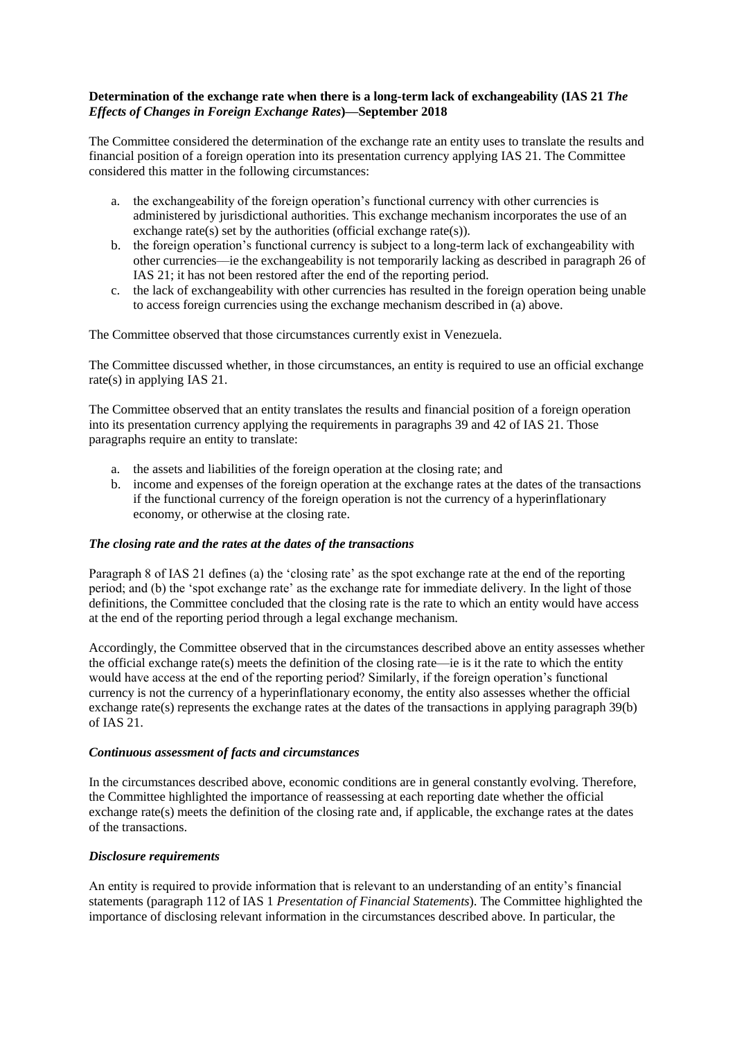## **Determination of the exchange rate when there is a long-term lack of exchangeability (IAS 21** *The Effects of Changes in Foreign Exchange Rates***)—September 2018**

The Committee considered the determination of the exchange rate an entity uses to translate the results and financial position of a foreign operation into its presentation currency applying IAS 21. The Committee considered this matter in the following circumstances:

- a. the exchangeability of the foreign operation's functional currency with other currencies is administered by jurisdictional authorities. This exchange mechanism incorporates the use of an exchange rate(s) set by the authorities (official exchange rate(s)).
- b. the foreign operation's functional currency is subject to a long-term lack of exchangeability with other currencies––ie the exchangeability is not temporarily lacking as described in paragraph 26 of IAS 21; it has not been restored after the end of the reporting period.
- c. the lack of exchangeability with other currencies has resulted in the foreign operation being unable to access foreign currencies using the exchange mechanism described in (a) above.

The Committee observed that those circumstances currently exist in Venezuela.

The Committee discussed whether, in those circumstances, an entity is required to use an official exchange rate(s) in applying IAS 21.

The Committee observed that an entity translates the results and financial position of a foreign operation into its presentation currency applying the requirements in paragraphs 39 and 42 of IAS 21. Those paragraphs require an entity to translate:

- a. the assets and liabilities of the foreign operation at the closing rate; and
- b. income and expenses of the foreign operation at the exchange rates at the dates of the transactions if the functional currency of the foreign operation is not the currency of a hyperinflationary economy, or otherwise at the closing rate.

## *The closing rate and the rates at the dates of the transactions*

Paragraph 8 of IAS 21 defines (a) the 'closing rate' as the spot exchange rate at the end of the reporting period; and (b) the 'spot exchange rate' as the exchange rate for immediate delivery. In the light of those definitions, the Committee concluded that the closing rate is the rate to which an entity would have access at the end of the reporting period through a legal exchange mechanism.

Accordingly, the Committee observed that in the circumstances described above an entity assesses whether the official exchange rate(s) meets the definition of the closing rate—ie is it the rate to which the entity would have access at the end of the reporting period? Similarly, if the foreign operation's functional currency is not the currency of a hyperinflationary economy, the entity also assesses whether the official exchange rate(s) represents the exchange rates at the dates of the transactions in applying paragraph 39(b) of IAS 21.

## *Continuous assessment of facts and circumstances*

In the circumstances described above, economic conditions are in general constantly evolving. Therefore, the Committee highlighted the importance of reassessing at each reporting date whether the official exchange rate(s) meets the definition of the closing rate and, if applicable, the exchange rates at the dates of the transactions.

## *Disclosure requirements*

An entity is required to provide information that is relevant to an understanding of an entity's financial statements (paragraph 112 of IAS 1 *Presentation of Financial Statements*). The Committee highlighted the importance of disclosing relevant information in the circumstances described above. In particular, the